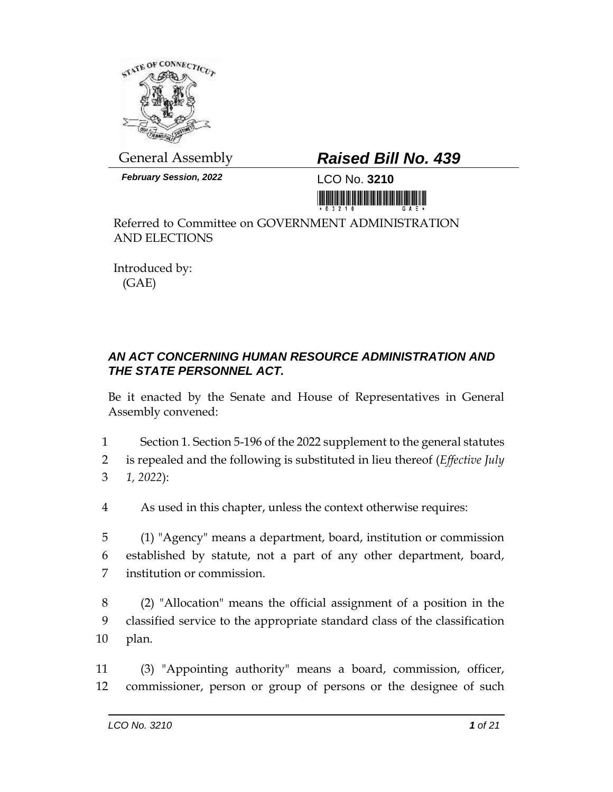

*February Session, 2022* LCO No. **3210**

## General Assembly *Raised Bill No. 439*

<u> III ya gujudi maan maan maan</u>

Referred to Committee on GOVERNMENT ADMINISTRATION AND ELECTIONS

Introduced by: (GAE)

## *AN ACT CONCERNING HUMAN RESOURCE ADMINISTRATION AND THE STATE PERSONNEL ACT.*

Be it enacted by the Senate and House of Representatives in General Assembly convened:

1 Section 1. Section 5-196 of the 2022 supplement to the general statutes

2 is repealed and the following is substituted in lieu thereof (*Effective July*  3 *1, 2022*):

4 As used in this chapter, unless the context otherwise requires:

5 (1) "Agency" means a department, board, institution or commission 6 established by statute, not a part of any other department, board, 7 institution or commission.

8 (2) "Allocation" means the official assignment of a position in the 9 classified service to the appropriate standard class of the classification 10 plan.

11 (3) "Appointing authority" means a board, commission, officer, 12 commissioner, person or group of persons or the designee of such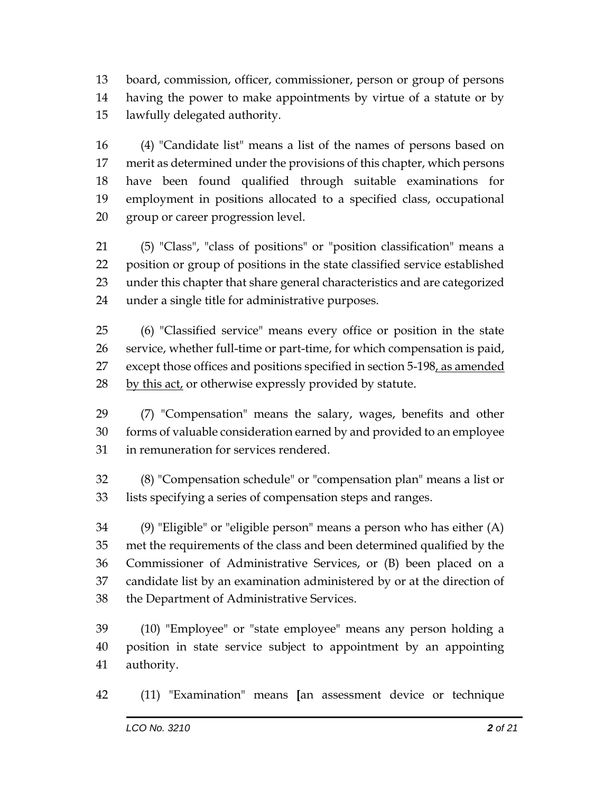board, commission, officer, commissioner, person or group of persons having the power to make appointments by virtue of a statute or by lawfully delegated authority.

 (4) "Candidate list" means a list of the names of persons based on merit as determined under the provisions of this chapter, which persons have been found qualified through suitable examinations for employment in positions allocated to a specified class, occupational group or career progression level.

 (5) "Class", "class of positions" or "position classification" means a position or group of positions in the state classified service established under this chapter that share general characteristics and are categorized under a single title for administrative purposes.

 (6) "Classified service" means every office or position in the state service, whether full-time or part-time, for which compensation is paid, 27 except those offices and positions specified in section 5-198, as amended 28 by this act, or otherwise expressly provided by statute.

 (7) "Compensation" means the salary, wages, benefits and other forms of valuable consideration earned by and provided to an employee in remuneration for services rendered.

 (8) "Compensation schedule" or "compensation plan" means a list or lists specifying a series of compensation steps and ranges.

 (9) "Eligible" or "eligible person" means a person who has either (A) met the requirements of the class and been determined qualified by the Commissioner of Administrative Services, or (B) been placed on a candidate list by an examination administered by or at the direction of the Department of Administrative Services.

 (10) "Employee" or "state employee" means any person holding a position in state service subject to appointment by an appointing authority.

(11) "Examination" means **[**an assessment device or technique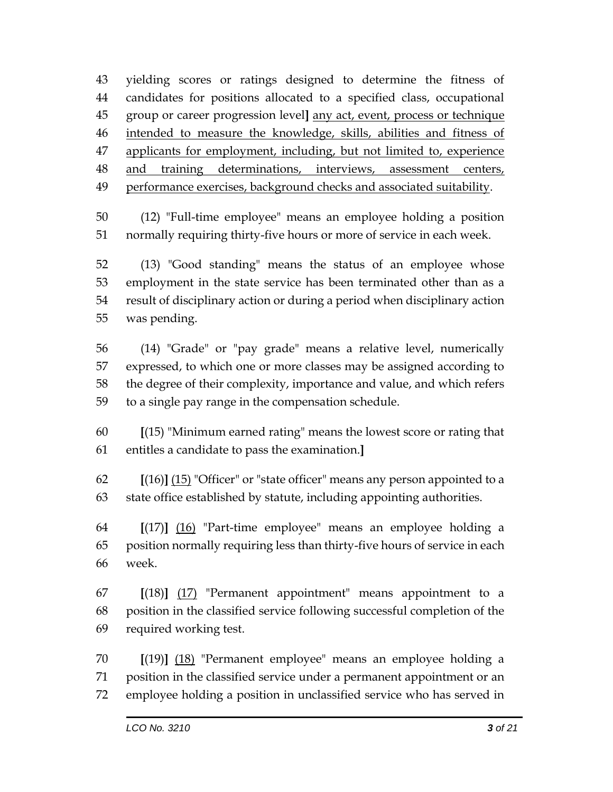yielding scores or ratings designed to determine the fitness of candidates for positions allocated to a specified class, occupational group or career progression level**]** any act, event, process or technique intended to measure the knowledge, skills, abilities and fitness of 47 applicants for employment, including, but not limited to, experience 48 and training determinations, interviews, assessment centers, performance exercises, background checks and associated suitability.

 (12) "Full-time employee" means an employee holding a position normally requiring thirty-five hours or more of service in each week.

 (13) "Good standing" means the status of an employee whose employment in the state service has been terminated other than as a result of disciplinary action or during a period when disciplinary action was pending.

 (14) "Grade" or "pay grade" means a relative level, numerically expressed, to which one or more classes may be assigned according to the degree of their complexity, importance and value, and which refers to a single pay range in the compensation schedule.

 **[**(15) "Minimum earned rating" means the lowest score or rating that entitles a candidate to pass the examination.**]**

 **[**(16)**]** (15) "Officer" or "state officer" means any person appointed to a state office established by statute, including appointing authorities.

 **[**(17)**]** (16) "Part-time employee" means an employee holding a position normally requiring less than thirty-five hours of service in each week.

 **[**(18)**]** (17) "Permanent appointment" means appointment to a position in the classified service following successful completion of the required working test.

 **[**(19)**]** (18) "Permanent employee" means an employee holding a position in the classified service under a permanent appointment or an employee holding a position in unclassified service who has served in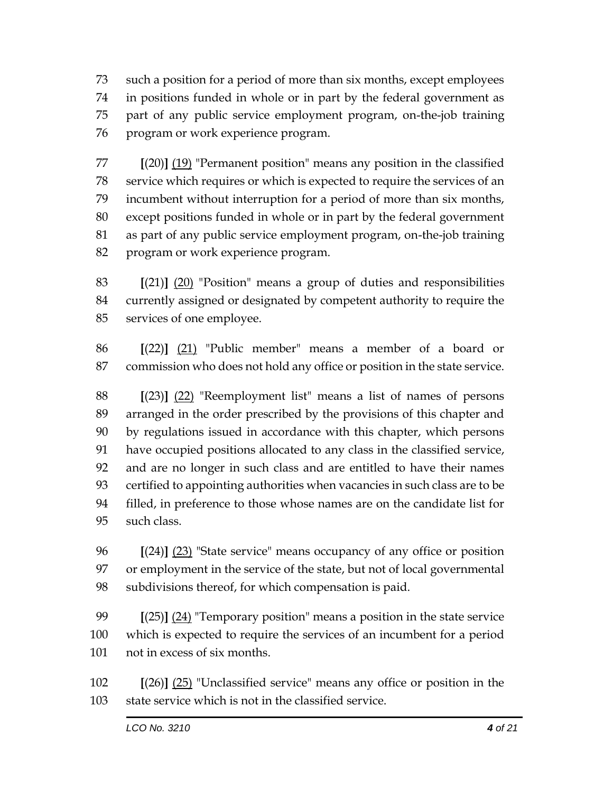such a position for a period of more than six months, except employees in positions funded in whole or in part by the federal government as part of any public service employment program, on-the-job training program or work experience program.

 **[**(20)**]** (19) "Permanent position" means any position in the classified service which requires or which is expected to require the services of an incumbent without interruption for a period of more than six months, except positions funded in whole or in part by the federal government as part of any public service employment program, on-the-job training program or work experience program.

 **[**(21)**]** (20) "Position" means a group of duties and responsibilities currently assigned or designated by competent authority to require the services of one employee.

 **[**(22)**]** (21) "Public member" means a member of a board or commission who does not hold any office or position in the state service.

 **[**(23)**]** (22) "Reemployment list" means a list of names of persons arranged in the order prescribed by the provisions of this chapter and by regulations issued in accordance with this chapter, which persons have occupied positions allocated to any class in the classified service, and are no longer in such class and are entitled to have their names certified to appointing authorities when vacancies in such class are to be filled, in preference to those whose names are on the candidate list for such class.

 **[**(24)**]** (23) "State service" means occupancy of any office or position or employment in the service of the state, but not of local governmental subdivisions thereof, for which compensation is paid.

 **[**(25)**]** (24) "Temporary position" means a position in the state service which is expected to require the services of an incumbent for a period not in excess of six months.

 **[**(26)**]** (25) "Unclassified service" means any office or position in the state service which is not in the classified service.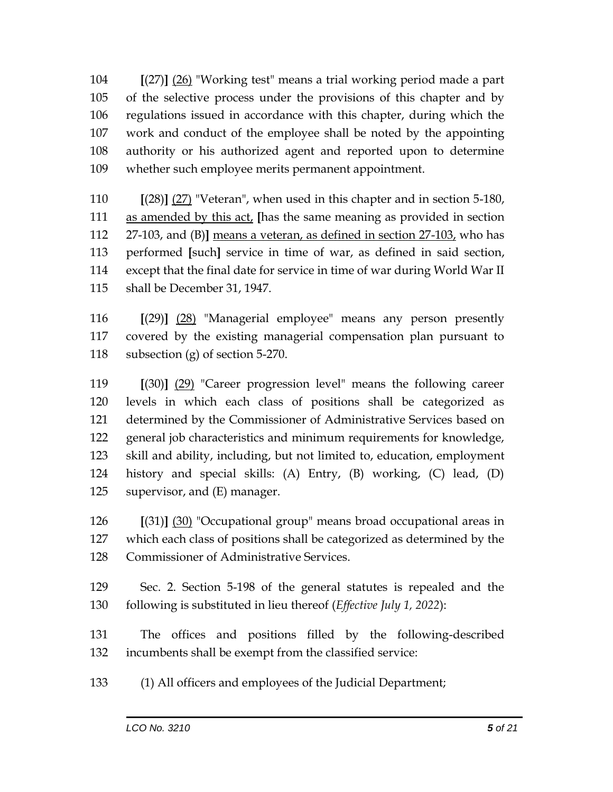**[**(27)**]** (26) "Working test" means a trial working period made a part of the selective process under the provisions of this chapter and by regulations issued in accordance with this chapter, during which the work and conduct of the employee shall be noted by the appointing authority or his authorized agent and reported upon to determine whether such employee merits permanent appointment.

 **[**(28)**]** (27) "Veteran", when used in this chapter and in section 5-180, as amended by this act, **[**has the same meaning as provided in section 27-103, and (B)**]** means a veteran, as defined in section 27-103, who has performed **[**such**]** service in time of war, as defined in said section, except that the final date for service in time of war during World War II shall be December 31, 1947.

 **[**(29)**]** (28) "Managerial employee" means any person presently covered by the existing managerial compensation plan pursuant to subsection (g) of section 5-270.

 **[**(30)**]** (29) "Career progression level" means the following career levels in which each class of positions shall be categorized as determined by the Commissioner of Administrative Services based on general job characteristics and minimum requirements for knowledge, skill and ability, including, but not limited to, education, employment history and special skills: (A) Entry, (B) working, (C) lead, (D) supervisor, and (E) manager.

 **[**(31)**]** (30) "Occupational group" means broad occupational areas in which each class of positions shall be categorized as determined by the Commissioner of Administrative Services.

 Sec. 2. Section 5-198 of the general statutes is repealed and the following is substituted in lieu thereof (*Effective July 1, 2022*):

 The offices and positions filled by the following-described incumbents shall be exempt from the classified service:

(1) All officers and employees of the Judicial Department;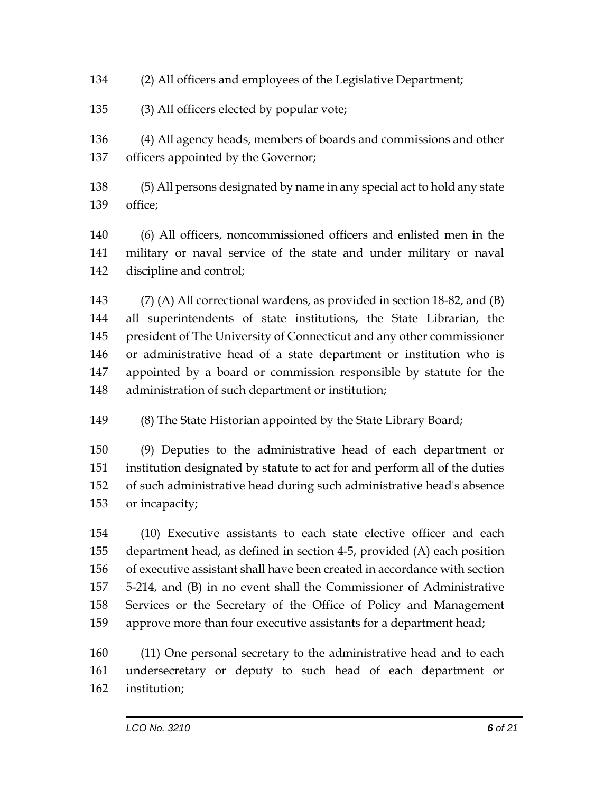(2) All officers and employees of the Legislative Department;

(3) All officers elected by popular vote;

 (4) All agency heads, members of boards and commissions and other officers appointed by the Governor;

 (5) All persons designated by name in any special act to hold any state office;

 (6) All officers, noncommissioned officers and enlisted men in the military or naval service of the state and under military or naval discipline and control;

 (7) (A) All correctional wardens, as provided in section 18-82, and (B) all superintendents of state institutions, the State Librarian, the president of The University of Connecticut and any other commissioner or administrative head of a state department or institution who is appointed by a board or commission responsible by statute for the administration of such department or institution;

(8) The State Historian appointed by the State Library Board;

 (9) Deputies to the administrative head of each department or institution designated by statute to act for and perform all of the duties of such administrative head during such administrative head's absence or incapacity;

 (10) Executive assistants to each state elective officer and each department head, as defined in section 4-5, provided (A) each position of executive assistant shall have been created in accordance with section 5-214, and (B) in no event shall the Commissioner of Administrative Services or the Secretary of the Office of Policy and Management approve more than four executive assistants for a department head;

 (11) One personal secretary to the administrative head and to each undersecretary or deputy to such head of each department or institution;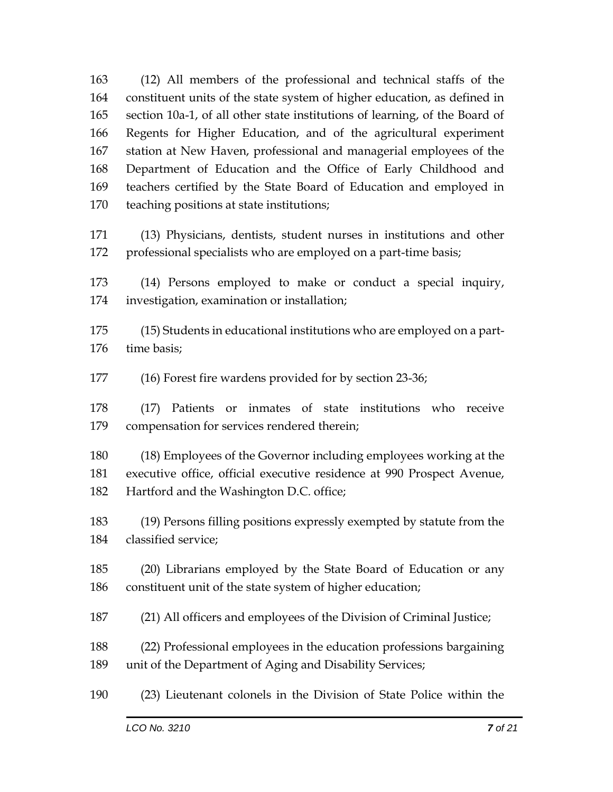(12) All members of the professional and technical staffs of the constituent units of the state system of higher education, as defined in section 10a-1, of all other state institutions of learning, of the Board of Regents for Higher Education, and of the agricultural experiment station at New Haven, professional and managerial employees of the Department of Education and the Office of Early Childhood and teachers certified by the State Board of Education and employed in teaching positions at state institutions;

 (13) Physicians, dentists, student nurses in institutions and other 172 professional specialists who are employed on a part-time basis;

 (14) Persons employed to make or conduct a special inquiry, investigation, examination or installation;

 (15) Students in educational institutions who are employed on a part-time basis;

(16) Forest fire wardens provided for by section 23-36;

 (17) Patients or inmates of state institutions who receive compensation for services rendered therein;

 (18) Employees of the Governor including employees working at the executive office, official executive residence at 990 Prospect Avenue, Hartford and the Washington D.C. office;

 (19) Persons filling positions expressly exempted by statute from the classified service;

 (20) Librarians employed by the State Board of Education or any constituent unit of the state system of higher education;

(21) All officers and employees of the Division of Criminal Justice;

 (22) Professional employees in the education professions bargaining unit of the Department of Aging and Disability Services;

(23) Lieutenant colonels in the Division of State Police within the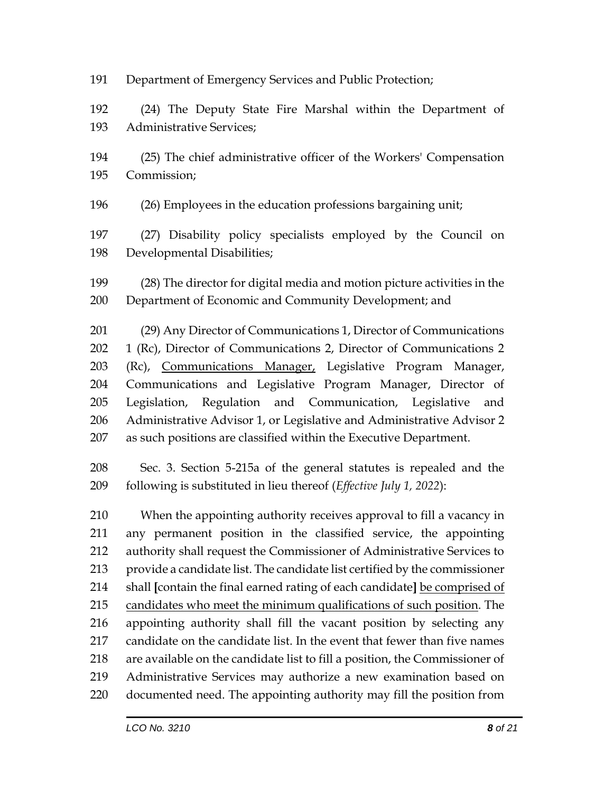Department of Emergency Services and Public Protection;

 (24) The Deputy State Fire Marshal within the Department of Administrative Services;

 (25) The chief administrative officer of the Workers' Compensation Commission;

(26) Employees in the education professions bargaining unit;

 (27) Disability policy specialists employed by the Council on Developmental Disabilities;

 (28) The director for digital media and motion picture activities in the Department of Economic and Community Development; and

 (29) Any Director of Communications 1, Director of Communications 1 (Rc), Director of Communications 2, Director of Communications 2 203 (Rc), Communications Manager, Legislative Program Manager, Communications and Legislative Program Manager, Director of Legislation, Regulation and Communication, Legislative and Administrative Advisor 1, or Legislative and Administrative Advisor 2 as such positions are classified within the Executive Department.

 Sec. 3. Section 5-215a of the general statutes is repealed and the following is substituted in lieu thereof (*Effective July 1, 2022*):

 When the appointing authority receives approval to fill a vacancy in any permanent position in the classified service, the appointing authority shall request the Commissioner of Administrative Services to provide a candidate list. The candidate list certified by the commissioner shall **[**contain the final earned rating of each candidate**]** be comprised of candidates who meet the minimum qualifications of such position. The appointing authority shall fill the vacant position by selecting any candidate on the candidate list. In the event that fewer than five names are available on the candidate list to fill a position, the Commissioner of Administrative Services may authorize a new examination based on documented need. The appointing authority may fill the position from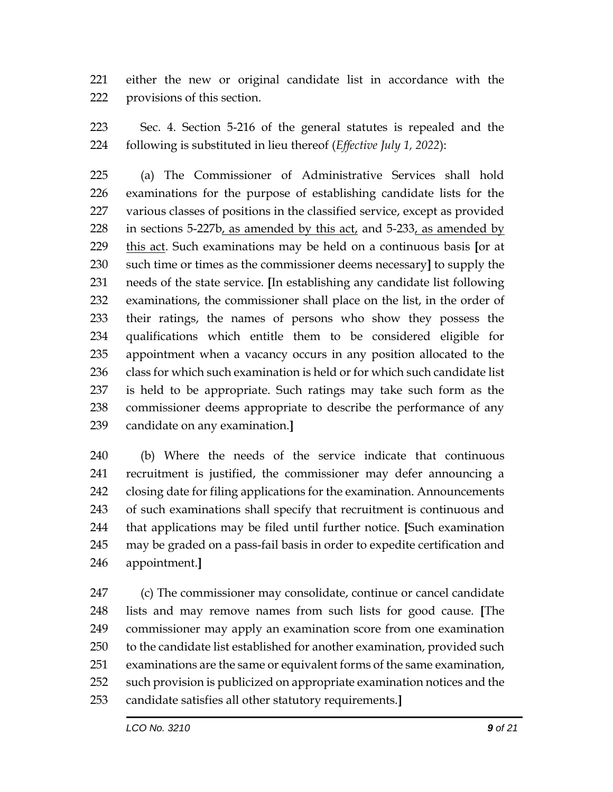either the new or original candidate list in accordance with the provisions of this section.

 Sec. 4. Section 5-216 of the general statutes is repealed and the following is substituted in lieu thereof (*Effective July 1, 2022*):

 (a) The Commissioner of Administrative Services shall hold examinations for the purpose of establishing candidate lists for the various classes of positions in the classified service, except as provided in sections 5-227b, as amended by this act, and 5-233, as amended by this act. Such examinations may be held on a continuous basis **[**or at such time or times as the commissioner deems necessary**]** to supply the needs of the state service. **[**In establishing any candidate list following examinations, the commissioner shall place on the list, in the order of their ratings, the names of persons who show they possess the qualifications which entitle them to be considered eligible for appointment when a vacancy occurs in any position allocated to the 236 class for which such examination is held or for which such candidate list is held to be appropriate. Such ratings may take such form as the commissioner deems appropriate to describe the performance of any candidate on any examination.**]**

 (b) Where the needs of the service indicate that continuous recruitment is justified, the commissioner may defer announcing a closing date for filing applications for the examination. Announcements of such examinations shall specify that recruitment is continuous and that applications may be filed until further notice. **[**Such examination may be graded on a pass-fail basis in order to expedite certification and appointment.**]**

 (c) The commissioner may consolidate, continue or cancel candidate lists and may remove names from such lists for good cause. **[**The commissioner may apply an examination score from one examination to the candidate list established for another examination, provided such examinations are the same or equivalent forms of the same examination, such provision is publicized on appropriate examination notices and the candidate satisfies all other statutory requirements.**]**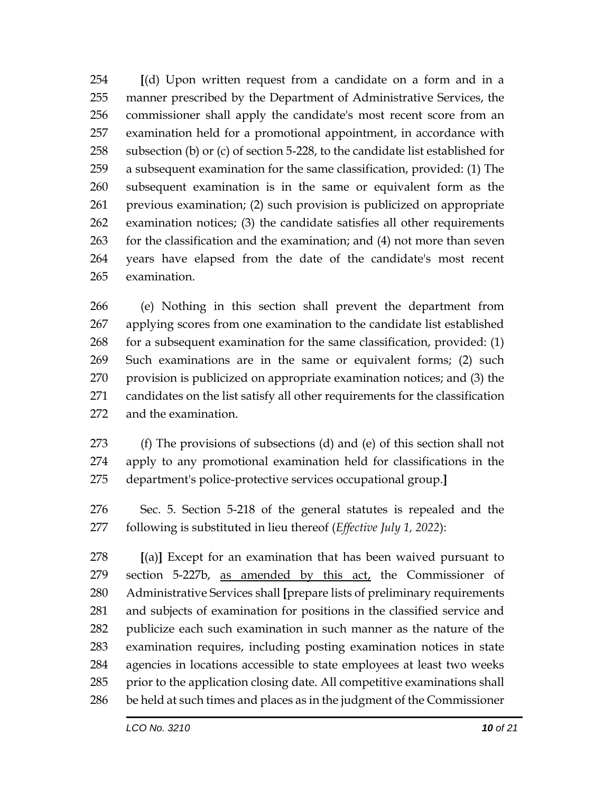**[**(d) Upon written request from a candidate on a form and in a manner prescribed by the Department of Administrative Services, the commissioner shall apply the candidate's most recent score from an examination held for a promotional appointment, in accordance with subsection (b) or (c) of section 5-228, to the candidate list established for a subsequent examination for the same classification, provided: (1) The subsequent examination is in the same or equivalent form as the previous examination; (2) such provision is publicized on appropriate examination notices; (3) the candidate satisfies all other requirements for the classification and the examination; and (4) not more than seven years have elapsed from the date of the candidate's most recent examination.

 (e) Nothing in this section shall prevent the department from applying scores from one examination to the candidate list established for a subsequent examination for the same classification, provided: (1) Such examinations are in the same or equivalent forms; (2) such provision is publicized on appropriate examination notices; and (3) the candidates on the list satisfy all other requirements for the classification and the examination.

 (f) The provisions of subsections (d) and (e) of this section shall not apply to any promotional examination held for classifications in the department's police-protective services occupational group.**]**

 Sec. 5. Section 5-218 of the general statutes is repealed and the following is substituted in lieu thereof (*Effective July 1, 2022*):

 **[**(a)**]** Except for an examination that has been waived pursuant to section 5-227b, as amended by this act, the Commissioner of Administrative Services shall **[**prepare lists of preliminary requirements and subjects of examination for positions in the classified service and publicize each such examination in such manner as the nature of the examination requires, including posting examination notices in state agencies in locations accessible to state employees at least two weeks prior to the application closing date. All competitive examinations shall be held at such times and places as in the judgment of the Commissioner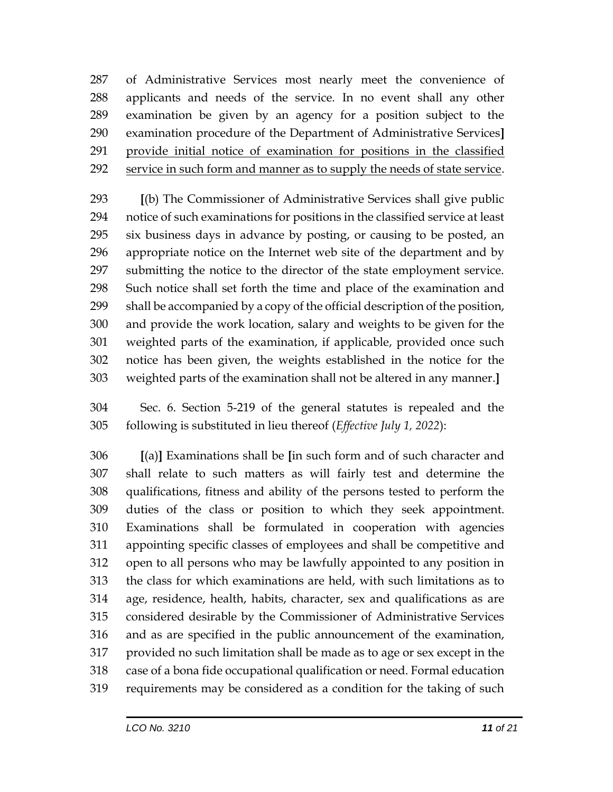of Administrative Services most nearly meet the convenience of applicants and needs of the service. In no event shall any other examination be given by an agency for a position subject to the examination procedure of the Department of Administrative Services**]** provide initial notice of examination for positions in the classified service in such form and manner as to supply the needs of state service.

 **[**(b) The Commissioner of Administrative Services shall give public notice of such examinations for positions in the classified service at least six business days in advance by posting, or causing to be posted, an appropriate notice on the Internet web site of the department and by submitting the notice to the director of the state employment service. Such notice shall set forth the time and place of the examination and shall be accompanied by a copy of the official description of the position, and provide the work location, salary and weights to be given for the weighted parts of the examination, if applicable, provided once such notice has been given, the weights established in the notice for the weighted parts of the examination shall not be altered in any manner.**]**

 Sec. 6. Section 5-219 of the general statutes is repealed and the following is substituted in lieu thereof (*Effective July 1, 2022*):

 **[**(a)**]** Examinations shall be **[**in such form and of such character and shall relate to such matters as will fairly test and determine the qualifications, fitness and ability of the persons tested to perform the duties of the class or position to which they seek appointment. Examinations shall be formulated in cooperation with agencies appointing specific classes of employees and shall be competitive and open to all persons who may be lawfully appointed to any position in the class for which examinations are held, with such limitations as to age, residence, health, habits, character, sex and qualifications as are considered desirable by the Commissioner of Administrative Services and as are specified in the public announcement of the examination, provided no such limitation shall be made as to age or sex except in the case of a bona fide occupational qualification or need. Formal education requirements may be considered as a condition for the taking of such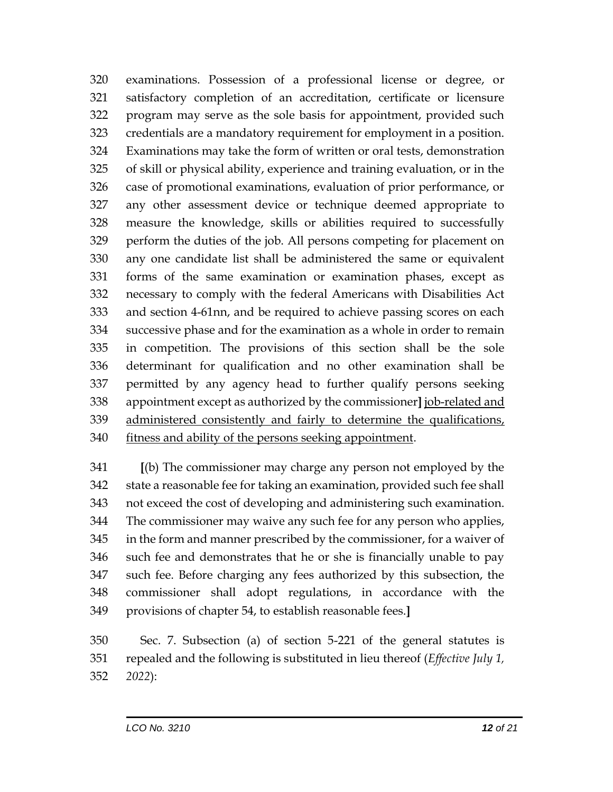examinations. Possession of a professional license or degree, or satisfactory completion of an accreditation, certificate or licensure program may serve as the sole basis for appointment, provided such credentials are a mandatory requirement for employment in a position. Examinations may take the form of written or oral tests, demonstration of skill or physical ability, experience and training evaluation, or in the case of promotional examinations, evaluation of prior performance, or any other assessment device or technique deemed appropriate to measure the knowledge, skills or abilities required to successfully perform the duties of the job. All persons competing for placement on any one candidate list shall be administered the same or equivalent forms of the same examination or examination phases, except as necessary to comply with the federal Americans with Disabilities Act and section 4-61nn, and be required to achieve passing scores on each successive phase and for the examination as a whole in order to remain in competition. The provisions of this section shall be the sole determinant for qualification and no other examination shall be permitted by any agency head to further qualify persons seeking appointment except as authorized by the commissioner**]** job-related and administered consistently and fairly to determine the qualifications, 340 fitness and ability of the persons seeking appointment.

 **[**(b) The commissioner may charge any person not employed by the state a reasonable fee for taking an examination, provided such fee shall not exceed the cost of developing and administering such examination. The commissioner may waive any such fee for any person who applies, in the form and manner prescribed by the commissioner, for a waiver of such fee and demonstrates that he or she is financially unable to pay such fee. Before charging any fees authorized by this subsection, the commissioner shall adopt regulations, in accordance with the provisions of chapter 54, to establish reasonable fees.**]**

 Sec. 7. Subsection (a) of section 5-221 of the general statutes is repealed and the following is substituted in lieu thereof (*Effective July 1, 2022*):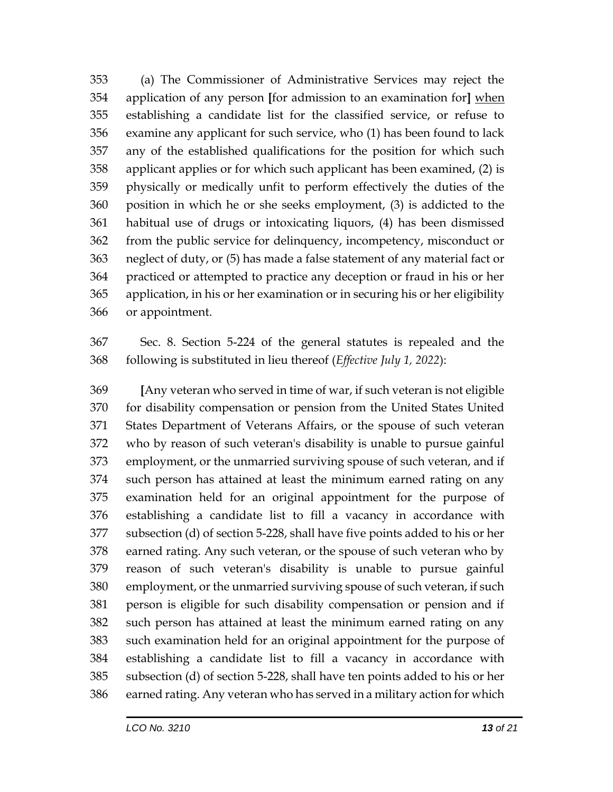(a) The Commissioner of Administrative Services may reject the application of any person **[**for admission to an examination for**]** when establishing a candidate list for the classified service, or refuse to examine any applicant for such service, who (1) has been found to lack any of the established qualifications for the position for which such applicant applies or for which such applicant has been examined, (2) is physically or medically unfit to perform effectively the duties of the position in which he or she seeks employment, (3) is addicted to the habitual use of drugs or intoxicating liquors, (4) has been dismissed from the public service for delinquency, incompetency, misconduct or neglect of duty, or (5) has made a false statement of any material fact or practiced or attempted to practice any deception or fraud in his or her application, in his or her examination or in securing his or her eligibility or appointment.

 Sec. 8. Section 5-224 of the general statutes is repealed and the following is substituted in lieu thereof (*Effective July 1, 2022*):

 **[**Any veteran who served in time of war, if such veteran is not eligible for disability compensation or pension from the United States United States Department of Veterans Affairs, or the spouse of such veteran who by reason of such veteran's disability is unable to pursue gainful employment, or the unmarried surviving spouse of such veteran, and if such person has attained at least the minimum earned rating on any examination held for an original appointment for the purpose of establishing a candidate list to fill a vacancy in accordance with subsection (d) of section 5-228, shall have five points added to his or her earned rating. Any such veteran, or the spouse of such veteran who by reason of such veteran's disability is unable to pursue gainful employment, or the unmarried surviving spouse of such veteran, if such person is eligible for such disability compensation or pension and if such person has attained at least the minimum earned rating on any such examination held for an original appointment for the purpose of establishing a candidate list to fill a vacancy in accordance with subsection (d) of section 5-228, shall have ten points added to his or her earned rating. Any veteran who has served in a military action for which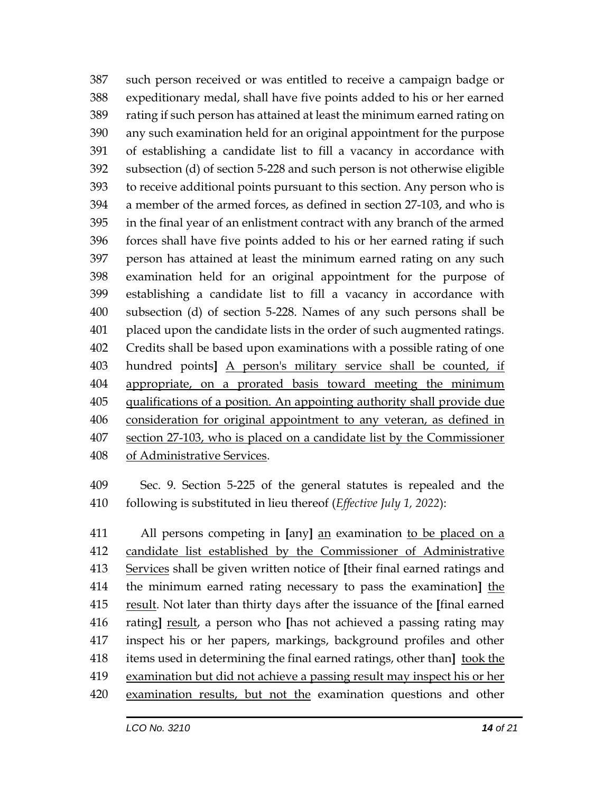such person received or was entitled to receive a campaign badge or expeditionary medal, shall have five points added to his or her earned rating if such person has attained at least the minimum earned rating on any such examination held for an original appointment for the purpose of establishing a candidate list to fill a vacancy in accordance with subsection (d) of section 5-228 and such person is not otherwise eligible to receive additional points pursuant to this section. Any person who is a member of the armed forces, as defined in section 27-103, and who is in the final year of an enlistment contract with any branch of the armed forces shall have five points added to his or her earned rating if such person has attained at least the minimum earned rating on any such examination held for an original appointment for the purpose of establishing a candidate list to fill a vacancy in accordance with subsection (d) of section 5-228. Names of any such persons shall be placed upon the candidate lists in the order of such augmented ratings. Credits shall be based upon examinations with a possible rating of one hundred points**]** A person's military service shall be counted, if appropriate, on a prorated basis toward meeting the minimum qualifications of a position. An appointing authority shall provide due consideration for original appointment to any veteran, as defined in section 27-103, who is placed on a candidate list by the Commissioner of Administrative Services.

 Sec. 9. Section 5-225 of the general statutes is repealed and the following is substituted in lieu thereof (*Effective July 1, 2022*):

 All persons competing in **[**any**]** an examination to be placed on a candidate list established by the Commissioner of Administrative Services shall be given written notice of **[**their final earned ratings and the minimum earned rating necessary to pass the examination**]** the result. Not later than thirty days after the issuance of the **[**final earned rating**]** result, a person who **[**has not achieved a passing rating may inspect his or her papers, markings, background profiles and other items used in determining the final earned ratings, other than**]** took the examination but did not achieve a passing result may inspect his or her examination results, but not the examination questions and other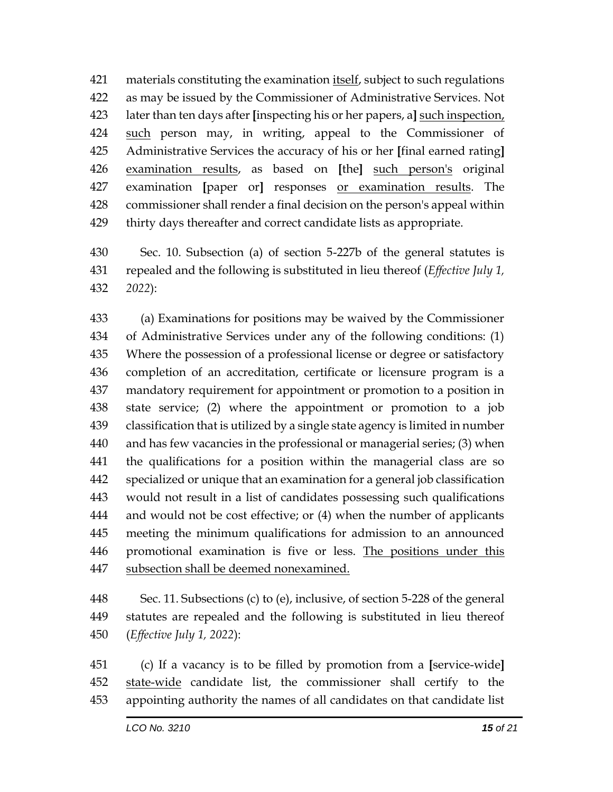materials constituting the examination itself, subject to such regulations as may be issued by the Commissioner of Administrative Services. Not later than ten days after **[**inspecting his or her papers, a**]** such inspection, such person may, in writing, appeal to the Commissioner of Administrative Services the accuracy of his or her **[**final earned rating**]** examination results, as based on **[**the**]** such person's original examination **[**paper or**]** responses or examination results. The commissioner shall render a final decision on the person's appeal within thirty days thereafter and correct candidate lists as appropriate.

 Sec. 10. Subsection (a) of section 5-227b of the general statutes is repealed and the following is substituted in lieu thereof (*Effective July 1, 2022*):

 (a) Examinations for positions may be waived by the Commissioner of Administrative Services under any of the following conditions: (1) Where the possession of a professional license or degree or satisfactory completion of an accreditation, certificate or licensure program is a mandatory requirement for appointment or promotion to a position in state service; (2) where the appointment or promotion to a job classification that is utilized by a single state agency is limited in number and has few vacancies in the professional or managerial series; (3) when the qualifications for a position within the managerial class are so specialized or unique that an examination for a general job classification would not result in a list of candidates possessing such qualifications and would not be cost effective; or (4) when the number of applicants meeting the minimum qualifications for admission to an announced promotional examination is five or less. The positions under this subsection shall be deemed nonexamined.

 Sec. 11. Subsections (c) to (e), inclusive, of section 5-228 of the general statutes are repealed and the following is substituted in lieu thereof (*Effective July 1, 2022*):

 (c) If a vacancy is to be filled by promotion from a **[**service-wide**]** state-wide candidate list, the commissioner shall certify to the appointing authority the names of all candidates on that candidate list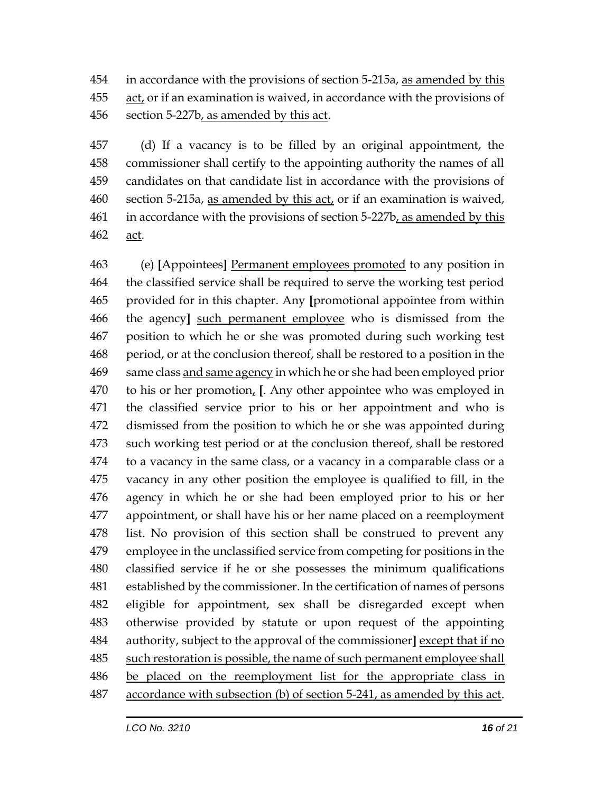in accordance with the provisions of section 5-215a, as amended by this act, or if an examination is waived, in accordance with the provisions of section 5-227b, as amended by this act.

 (d) If a vacancy is to be filled by an original appointment, the commissioner shall certify to the appointing authority the names of all candidates on that candidate list in accordance with the provisions of 460 section 5-215a, as amended by this act, or if an examination is waived, in accordance with the provisions of section 5-227b, as amended by this act.

 (e) **[**Appointees**]** Permanent employees promoted to any position in the classified service shall be required to serve the working test period provided for in this chapter. Any **[**promotional appointee from within the agency**]** such permanent employee who is dismissed from the position to which he or she was promoted during such working test period, or at the conclusion thereof, shall be restored to a position in the 469 same class and same agency in which he or she had been employed prior to his or her promotion, **[**. Any other appointee who was employed in the classified service prior to his or her appointment and who is dismissed from the position to which he or she was appointed during such working test period or at the conclusion thereof, shall be restored to a vacancy in the same class, or a vacancy in a comparable class or a vacancy in any other position the employee is qualified to fill, in the agency in which he or she had been employed prior to his or her appointment, or shall have his or her name placed on a reemployment list. No provision of this section shall be construed to prevent any employee in the unclassified service from competing for positions in the classified service if he or she possesses the minimum qualifications established by the commissioner. In the certification of names of persons eligible for appointment, sex shall be disregarded except when otherwise provided by statute or upon request of the appointing authority, subject to the approval of the commissioner**]** except that if no such restoration is possible, the name of such permanent employee shall be placed on the reemployment list for the appropriate class in accordance with subsection (b) of section 5-241, as amended by this act.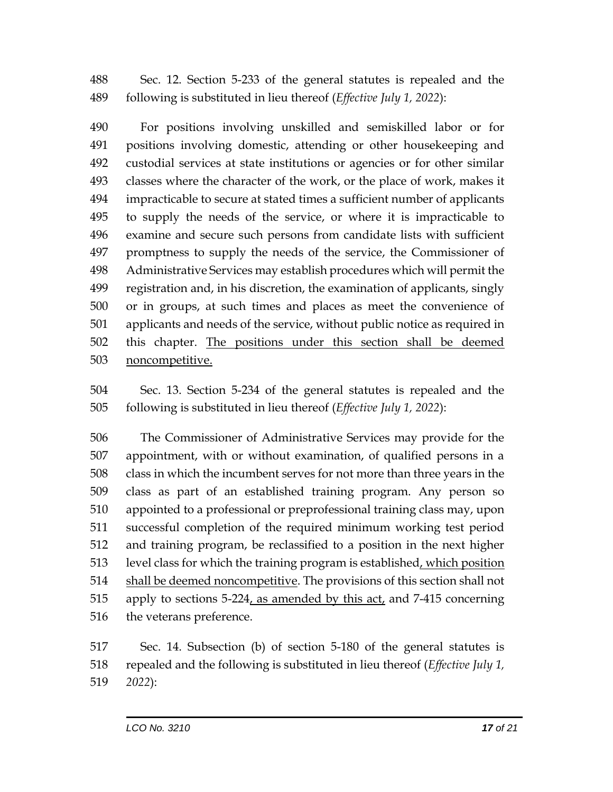Sec. 12. Section 5-233 of the general statutes is repealed and the following is substituted in lieu thereof (*Effective July 1, 2022*):

 For positions involving unskilled and semiskilled labor or for positions involving domestic, attending or other housekeeping and custodial services at state institutions or agencies or for other similar classes where the character of the work, or the place of work, makes it impracticable to secure at stated times a sufficient number of applicants to supply the needs of the service, or where it is impracticable to examine and secure such persons from candidate lists with sufficient promptness to supply the needs of the service, the Commissioner of Administrative Services may establish procedures which will permit the registration and, in his discretion, the examination of applicants, singly or in groups, at such times and places as meet the convenience of applicants and needs of the service, without public notice as required in 502 this chapter. The positions under this section shall be deemed noncompetitive.

 Sec. 13. Section 5-234 of the general statutes is repealed and the following is substituted in lieu thereof (*Effective July 1, 2022*):

 The Commissioner of Administrative Services may provide for the appointment, with or without examination, of qualified persons in a class in which the incumbent serves for not more than three years in the class as part of an established training program. Any person so appointed to a professional or preprofessional training class may, upon successful completion of the required minimum working test period and training program, be reclassified to a position in the next higher level class for which the training program is established, which position 514 shall be deemed noncompetitive. The provisions of this section shall not 515 apply to sections 5-224, as amended by this  $act<sub>t</sub>$  and 7-415 concerning the veterans preference.

 Sec. 14. Subsection (b) of section 5-180 of the general statutes is repealed and the following is substituted in lieu thereof (*Effective July 1, 2022*):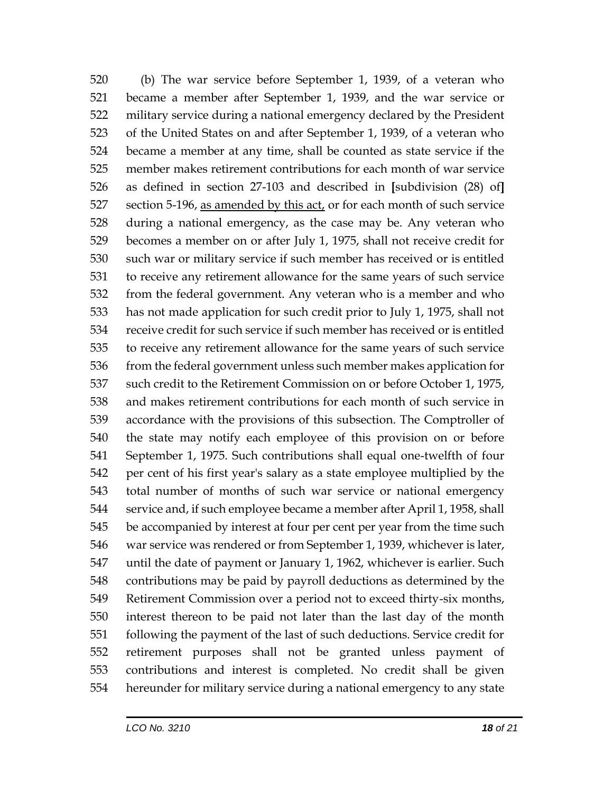(b) The war service before September 1, 1939, of a veteran who became a member after September 1, 1939, and the war service or military service during a national emergency declared by the President of the United States on and after September 1, 1939, of a veteran who became a member at any time, shall be counted as state service if the member makes retirement contributions for each month of war service as defined in section 27-103 and described in **[**subdivision (28) of**]** section 5-196, as amended by this act, or for each month of such service during a national emergency, as the case may be. Any veteran who becomes a member on or after July 1, 1975, shall not receive credit for such war or military service if such member has received or is entitled to receive any retirement allowance for the same years of such service from the federal government. Any veteran who is a member and who has not made application for such credit prior to July 1, 1975, shall not receive credit for such service if such member has received or is entitled to receive any retirement allowance for the same years of such service 536 from the federal government unless such member makes application for such credit to the Retirement Commission on or before October 1, 1975, and makes retirement contributions for each month of such service in accordance with the provisions of this subsection. The Comptroller of the state may notify each employee of this provision on or before September 1, 1975. Such contributions shall equal one-twelfth of four per cent of his first year's salary as a state employee multiplied by the total number of months of such war service or national emergency service and, if such employee became a member after April 1, 1958, shall be accompanied by interest at four per cent per year from the time such war service was rendered or from September 1, 1939, whichever is later, until the date of payment or January 1, 1962, whichever is earlier. Such contributions may be paid by payroll deductions as determined by the Retirement Commission over a period not to exceed thirty-six months, interest thereon to be paid not later than the last day of the month following the payment of the last of such deductions. Service credit for retirement purposes shall not be granted unless payment of contributions and interest is completed. No credit shall be given hereunder for military service during a national emergency to any state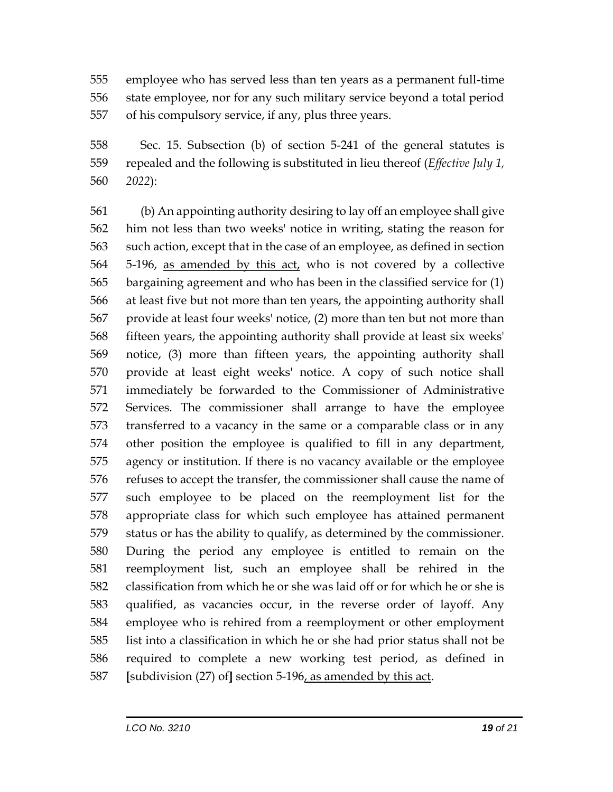employee who has served less than ten years as a permanent full-time state employee, nor for any such military service beyond a total period of his compulsory service, if any, plus three years.

 Sec. 15. Subsection (b) of section 5-241 of the general statutes is repealed and the following is substituted in lieu thereof (*Effective July 1, 2022*):

 (b) An appointing authority desiring to lay off an employee shall give him not less than two weeks' notice in writing, stating the reason for such action, except that in the case of an employee, as defined in section 5-196, as amended by this act, who is not covered by a collective bargaining agreement and who has been in the classified service for (1) at least five but not more than ten years, the appointing authority shall provide at least four weeks' notice, (2) more than ten but not more than fifteen years, the appointing authority shall provide at least six weeks' notice, (3) more than fifteen years, the appointing authority shall provide at least eight weeks' notice. A copy of such notice shall immediately be forwarded to the Commissioner of Administrative Services. The commissioner shall arrange to have the employee transferred to a vacancy in the same or a comparable class or in any other position the employee is qualified to fill in any department, agency or institution. If there is no vacancy available or the employee refuses to accept the transfer, the commissioner shall cause the name of such employee to be placed on the reemployment list for the appropriate class for which such employee has attained permanent status or has the ability to qualify, as determined by the commissioner. During the period any employee is entitled to remain on the reemployment list, such an employee shall be rehired in the classification from which he or she was laid off or for which he or she is qualified, as vacancies occur, in the reverse order of layoff. Any employee who is rehired from a reemployment or other employment list into a classification in which he or she had prior status shall not be required to complete a new working test period, as defined in **[**subdivision (27) of**]** section 5-196, as amended by this act.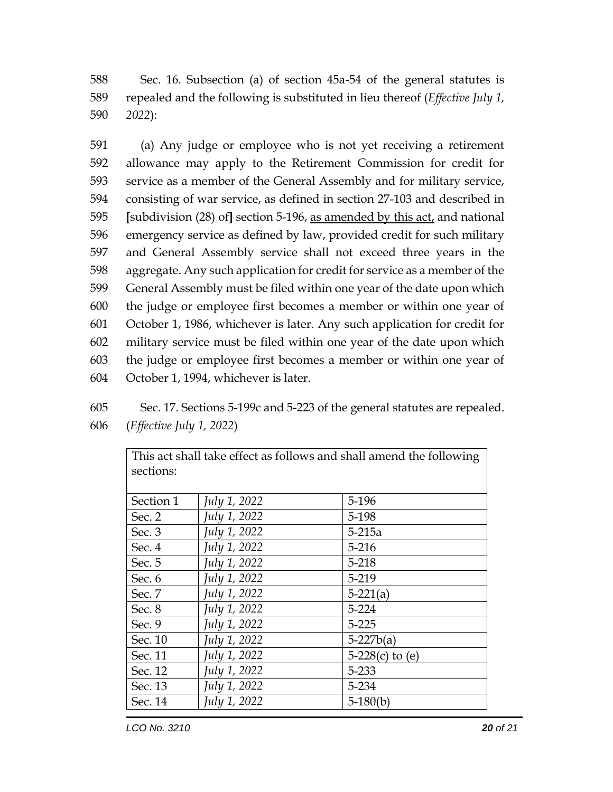588 Sec. 16. Subsection (a) of section 45a-54 of the general statutes is 589 repealed and the following is substituted in lieu thereof (*Effective July 1,*  590 *2022*):

 (a) Any judge or employee who is not yet receiving a retirement allowance may apply to the Retirement Commission for credit for service as a member of the General Assembly and for military service, consisting of war service, as defined in section 27-103 and described in **[**subdivision (28) of**]** section 5-196, as amended by this act, and national emergency service as defined by law, provided credit for such military and General Assembly service shall not exceed three years in the aggregate. Any such application for credit for service as a member of the General Assembly must be filed within one year of the date upon which the judge or employee first becomes a member or within one year of October 1, 1986, whichever is later. Any such application for credit for military service must be filed within one year of the date upon which the judge or employee first becomes a member or within one year of October 1, 1994, whichever is later.

605 Sec. 17. Sections 5-199c and 5-223 of the general statutes are repealed. 606 (*Effective July 1, 2022*)

| Section 1 | July 1, 2022 | 5-196             |
|-----------|--------------|-------------------|
| Sec. 2    | July 1, 2022 | 5-198             |
| Sec. 3    | July 1, 2022 | $5-215a$          |
| Sec. 4    | July 1, 2022 | $5 - 216$         |
| Sec. 5    | July 1, 2022 | $5 - 218$         |
| Sec. 6    | July 1, 2022 | 5-219             |
| Sec. 7    | July 1, 2022 | $5-221(a)$        |
| Sec. 8    | July 1, 2022 | $5 - 224$         |
| Sec. 9    | July 1, 2022 | $5 - 225$         |
| Sec. 10   | July 1, 2022 | $5-227b(a)$       |
| Sec. 11   | July 1, 2022 | 5-228(c) to $(e)$ |
| Sec. 12   | July 1, 2022 | 5-233             |
| Sec. 13   | July 1, 2022 | 5-234             |
| Sec. 14   | July 1, 2022 | $5-180(b)$        |

This act shall take effect as follows and shall amend the following sections: